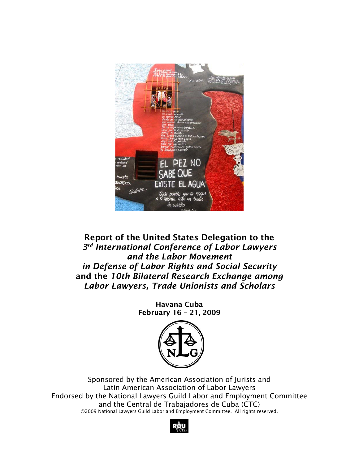

# Report of the United States Delegation to the *3rd International Conference of Labor Lawyers and the Labor Movement in Defense of Labor Rights and Social Security*  and the *10th Bilateral Research Exchange among Labor Lawyers, Trade Unionists and Scholars*

Havana Cuba February 16 – 21, 2009



Sponsored by the American Association of Jurists and Latin American Association of Labor Lawyers Endorsed by the National Lawyers Guild Labor and Employment Committee and the Central de Trabajadores de Cuba (CTC) ©2009 National Lawyers Guild Labor and Employment Committee. All rights reserved.

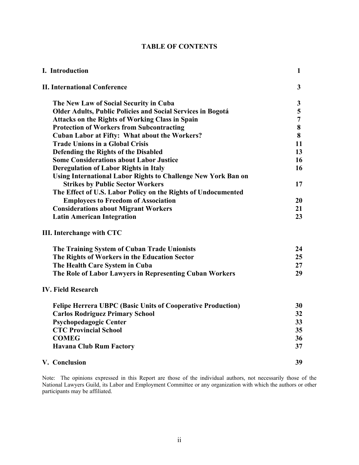| I. Introduction                                                    | $\mathbf{1}$   |
|--------------------------------------------------------------------|----------------|
| <b>II. International Conference</b>                                | $\mathbf{3}$   |
| The New Law of Social Security in Cuba                             | $\mathbf{3}$   |
| <b>Older Adults, Public Policies and Social Services in Bogotá</b> | 5              |
| <b>Attacks on the Rights of Working Class in Spain</b>             | $\overline{7}$ |
| <b>Protection of Workers from Subcontracting</b>                   | 8              |
| <b>Cuban Labor at Fifty: What about the Workers?</b>               | 8              |
| <b>Trade Unions in a Global Crisis</b>                             | 11             |
| <b>Defending the Rights of the Disabled</b>                        | 13             |
| <b>Some Considerations about Labor Justice</b>                     | 16             |
| <b>Deregulation of Labor Rights in Italy</b>                       | 16             |
| Using International Labor Rights to Challenge New York Ban on      |                |
| <b>Strikes by Public Sector Workers</b>                            | 17             |
| The Effect of U.S. Labor Policy on the Rights of Undocumented      |                |
| <b>Employees to Freedom of Association</b>                         | 20             |
| <b>Considerations about Migrant Workers</b>                        | 21             |
| <b>Latin American Integration</b>                                  | 23             |
| III. Interchange with CTC                                          |                |
| The Training System of Cuban Trade Unionists                       | 24             |
| The Rights of Workers in the Education Sector                      | 25             |
| The Health Care System in Cuba                                     | 27             |
| The Role of Labor Lawyers in Representing Cuban Workers            | 29             |
| <b>IV. Field Research</b>                                          |                |
| <b>Felipe Herrera UBPC (Basic Units of Cooperative Production)</b> | 30             |
| <b>Carlos Rodriguez Primary School</b>                             | 32             |
| <b>Psychopedagogic Center</b>                                      | 33             |
| <b>CTC Provincial School</b>                                       | 35             |
| <b>COMEG</b>                                                       | 36             |
| <b>Havana Club Rum Factory</b>                                     | 37             |
| V. Conclusion                                                      | 39             |

Note: The opinions expressed in this Report are those of the individual authors, not necessarily those of the National Lawyers Guild, its Labor and Employment Committee or any organization with which the authors or other participants may be affiliated.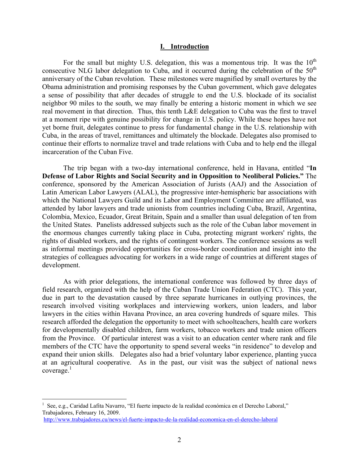#### **I. Introduction**

For the small but mighty U.S. delegation, this was a momentous trip. It was the  $10<sup>th</sup>$ consecutive NLG labor delegation to Cuba, and it occurred during the celebration of the  $50<sup>th</sup>$ anniversary of the Cuban revolution. These milestones were magnified by small overtures by the Obama administration and promising responses by the Cuban government, which gave delegates a sense of possibility that after decades of struggle to end the U.S. blockade of its socialist neighbor 90 miles to the south, we may finally be entering a historic moment in which we see real movement in that direction. Thus, this tenth L&E delegation to Cuba was the first to travel at a moment ripe with genuine possibility for change in U.S. policy. While these hopes have not yet borne fruit, delegates continue to press for fundamental change in the U.S. relationship with Cuba, in the areas of travel, remittances and ultimately the blockade. Delegates also promised to continue their efforts to normalize travel and trade relations with Cuba and to help end the illegal incarceration of the Cuban Five.

The trip began with a two-day international conference, held in Havana, entitled "**In Defense of Labor Rights and Social Security and in Opposition to Neoliberal Policies."** The conference, sponsored by the American Association of Jurists (AAJ) and the Association of Latin American Labor Lawyers (ALAL), the progressive inter-hemispheric bar associations with which the National Lawyers Guild and its Labor and Employment Committee are affiliated, was attended by labor lawyers and trade unionists from countries including Cuba, Brazil, Argentina, Colombia, Mexico, Ecuador, Great Britain, Spain and a smaller than usual delegation of ten from the United States. Panelists addressed subjects such as the role of the Cuban labor movement in the enormous changes currently taking place in Cuba, protecting migrant workers' rights, the rights of disabled workers, and the rights of contingent workers. The conference sessions as well as informal meetings provided opportunities for cross-border coordination and insight into the strategies of colleagues advocating for workers in a wide range of countries at different stages of development.

As with prior delegations, the international conference was followed by three days of field research, organized with the help of the Cuban Trade Union Federation (CTC). This year, due in part to the devastation caused by three separate hurricanes in outlying provinces, the research involved visiting workplaces and interviewing workers, union leaders, and labor lawyers in the cities within Havana Province, an area covering hundreds of square miles. This research afforded the delegation the opportunity to meet with schoolteachers, health care workers for developmentally disabled children, farm workers, tobacco workers and trade union officers from the Province. Of particular interest was a visit to an education center where rank and file members of the CTC have the opportunity to spend several weeks "in residence" to develop and expand their union skills. Delegates also had a brief voluntary labor experience, planting yucca at an agricultural cooperative. As in the past, our visit was the subject of national news  $coverage<sup>1</sup>$ 

 $\overline{a}$ 

<sup>1</sup> See, e.g., Caridad Lafita Navarro, "El fuerte impacto de la realidad económica en el Derecho Laboral," Trabajadores, February 16, 2009.

http://www.trabajadores.cu/news/el-fuerte-impacto-de-la-realidad-economica-en-el-derecho-laboral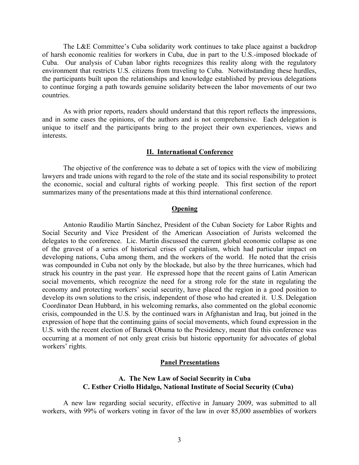The L&E Committee's Cuba solidarity work continues to take place against a backdrop of harsh economic realities for workers in Cuba, due in part to the U.S.-imposed blockade of Cuba. Our analysis of Cuban labor rights recognizes this reality along with the regulatory environment that restricts U.S. citizens from traveling to Cuba. Notwithstanding these hurdles, the participants built upon the relationships and knowledge established by previous delegations to continue forging a path towards genuine solidarity between the labor movements of our two countries.

As with prior reports, readers should understand that this report reflects the impressions, and in some cases the opinions, of the authors and is not comprehensive. Each delegation is unique to itself and the participants bring to the project their own experiences, views and interests.

#### **II. International Conference**

The objective of the conference was to debate a set of topics with the view of mobilizing lawyers and trade unions with regard to the role of the state and its social responsibility to protect the economic, social and cultural rights of working people. This first section of the report summarizes many of the presentations made at this third international conference.

#### **Opening**

Antonio Raudilio Martín Sánchez, President of the Cuban Society for Labor Rights and Social Security and Vice President of the American Association of Jurists welcomed the delegates to the conference. Lic. Martín discussed the current global economic collapse as one of the gravest of a series of historical crises of capitalism, which had particular impact on developing nations, Cuba among them, and the workers of the world. He noted that the crisis was compounded in Cuba not only by the blockade, but also by the three hurricanes, which had struck his country in the past year. He expressed hope that the recent gains of Latin American social movements, which recognize the need for a strong role for the state in regulating the economy and protecting workers' social security, have placed the region in a good position to develop its own solutions to the crisis, independent of those who had created it. U.S. Delegation Coordinator Dean Hubbard, in his welcoming remarks, also commented on the global economic crisis, compounded in the U.S. by the continued wars in Afghanistan and Iraq, but joined in the expression of hope that the continuing gains of social movements, which found expression in the U.S. with the recent election of Barack Obama to the Presidency, meant that this conference was occurring at a moment of not only great crisis but historic opportunity for advocates of global workers' rights.

#### **Panel Presentations**

### **A. The New Law of Social Security in Cuba C. Esther Criollo Hidalgo, National Institute of Social Security (Cuba)**

 A new law regarding social security, effective in January 2009, was submitted to all workers, with 99% of workers voting in favor of the law in over 85,000 assemblies of workers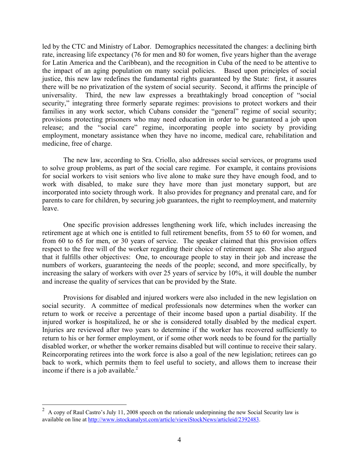led by the CTC and Ministry of Labor. Demographics necessitated the changes: a declining birth rate, increasing life expectancy (76 for men and 80 for women, five years higher than the average for Latin America and the Caribbean), and the recognition in Cuba of the need to be attentive to the impact of an aging population on many social policies. Based upon principles of social justice, this new law redefines the fundamental rights guaranteed by the State: first, it assures there will be no privatization of the system of social security. Second, it affirms the principle of universality. Third, the new law expresses a breathtakingly broad conception of "social security," integrating three formerly separate regimes: provisions to protect workers and their families in any work sector, which Cubans consider the "general" regime of social security; provisions protecting prisoners who may need education in order to be guaranteed a job upon release; and the "social care" regime, incorporating people into society by providing employment, monetary assistance when they have no income, medical care, rehabilitation and medicine, free of charge.

 The new law, according to Sra. Criollo, also addresses social services, or programs used to solve group problems, as part of the social care regime. For example, it contains provisions for social workers to visit seniors who live alone to make sure they have enough food, and to work with disabled, to make sure they have more than just monetary support, but are incorporated into society through work. It also provides for pregnancy and prenatal care, and for parents to care for children, by securing job guarantees, the right to reemployment, and maternity leave.

One specific provision addresses lengthening work life, which includes increasing the retirement age at which one is entitled to full retirement benefits, from 55 to 60 for women, and from 60 to 65 for men, or 30 years of service. The speaker claimed that this provision offers respect to the free will of the worker regarding their choice of retirement age. She also argued that it fulfills other objectives: One, to encourage people to stay in their job and increase the numbers of workers, guaranteeing the needs of the people; second, and more specifically, by increasing the salary of workers with over 25 years of service by 10%, it will double the number and increase the quality of services that can be provided by the State.

Provisions for disabled and injured workers were also included in the new legislation on social security. A committee of medical professionals now determines when the worker can return to work or receive a percentage of their income based upon a partial disability. If the injured worker is hospitalized, he or she is considered totally disabled by the medical expert. Injuries are reviewed after two years to determine if the worker has recovered sufficiently to return to his or her former employment, or if some other work needs to be found for the partially disabled worker, or whether the worker remains disabled but will continue to receive their salary. Reincorporating retirees into the work force is also a goal of the new legislation; retirees can go back to work, which permits them to feel useful to society, and allows them to increase their income if there is a job available. $^{2}$ 

<sup>&</sup>lt;sup>2</sup> A copy of Raul Castro's July 11, 2008 speech on the rationale underpinning the new Social Security law is available on line at http://www.istockanalyst.com/article/viewiStockNews/articleid/2392483.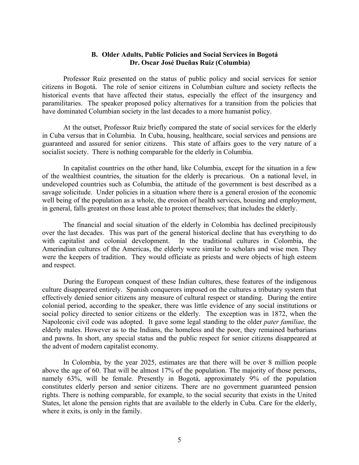### **B. Older Adults, Public Policies and Social Services in Bogotá Dr. Oscar José Dueñas Ruiz (Columbia)**

Professor Ruiz presented on the status of public policy and social services for senior citizens in Bogotá. The role of senior citizens in Columbian culture and society reflects the historical events that have affected their status, especially the effect of the insurgency and paramilitaries. The speaker proposed policy alternatives for a transition from the policies that have dominated Columbian society in the last decades to a more humanist policy.

 At the outset, Professor Ruiz briefly compared the state of social services for the elderly in Cuba versus that in Columbia. In Cuba, housing, healthcare, social services and pensions are guaranteed and assured for senior citizens. This state of affairs goes to the very nature of a socialist society. There is nothing comparable for the elderly in Columbia.

 In capitalist countries on the other hand, like Columbia, except for the situation in a few of the wealthiest countries, the situation for the elderly is precarious. On a national level, in undeveloped countries such as Columbia, the attitude of the government is best described as a savage solicitude. Under policies in a situation where there is a general erosion of the economic well being of the population as a whole, the erosion of health services, housing and employment, in general, falls greatest on those least able to protect themselves; that includes the elderly.

 The financial and social situation of the elderly in Colombia has declined precipitously over the last decades. This was part of the general historical decline that has everything to do with capitalist and colonial development. In the traditional cultures in Colombia, the Amerindian cultures of the Americas, the elderly were similar to scholars and wise men. They were the keepers of tradition. They would officiate as priests and were objects of high esteem and respect.

 During the European conquest of these Indian cultures, these features of the indigenous culture disappeared entirely. Spanish conquerors imposed on the cultures a tributary system that effectively denied senior citizens any measure of cultural respect or standing. During the entire colonial period, according to the speaker, there was little evidence of any social institutions or social policy directed to senior citizens or the elderly. The exception was in 1872, when the Napoleonic civil code was adopted. It gave some legal standing to the older *pater familiae,* the elderly males. However as to the Indians, the homeless and the poor, they remained barbarians and pawns. In short, any special status and the public respect for senior citizens disappeared at the advent of modern capitalist economy.

In Colombia, by the year 2025, estimates are that there will be over 8 million people above the age of 60. That will be almost 17% of the population. The majority of those persons, namely 63%, will be female. Presently in Bogotá, approximately 9% of the population constitutes elderly person and senior citizens. There are no government guaranteed pension rights. There is nothing comparable, for example, to the social security that exists in the United States, let alone the pension rights that are available to the elderly in Cuba. Care for the elderly, where it exits, is only in the family.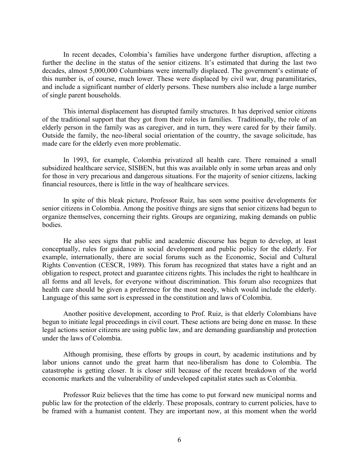In recent decades, Colombia's families have undergone further disruption, affecting a further the decline in the status of the senior citizens. It's estimated that during the last two decades, almost 5,000,000 Columbians were internally displaced. The government's estimate of this number is, of course, much lower. These were displaced by civil war, drug paramilitaries, and include a significant number of elderly persons. These numbers also include a large number of single parent households.

This internal displacement has disrupted family structures. It has deprived senior citizens of the traditional support that they got from their roles in families. Traditionally, the role of an elderly person in the family was as caregiver, and in turn, they were cared for by their family. Outside the family, the neo-liberal social orientation of the country, the savage solicitude, has made care for the elderly even more problematic.

In 1993, for example, Colombia privatized all health care. There remained a small subsidized healthcare service, SISBEN, but this was available only in some urban areas and only for those in very precarious and dangerous situations. For the majority of senior citizens, lacking financial resources, there is little in the way of healthcare services.

In spite of this bleak picture, Professor Ruiz, has seen some positive developments for senior citizens in Colombia. Among the positive things are signs that senior citizens had begun to organize themselves, concerning their rights. Groups are organizing, making demands on public bodies.

He also sees signs that public and academic discourse has begun to develop, at least conceptually, rules for guidance in social development and public policy for the elderly. For example, internationally, there are social forums such as the Economic, Social and Cultural Rights Convention (CESCR, 1989). This forum has recognized that states have a right and an obligation to respect, protect and guarantee citizens rights. This includes the right to healthcare in all forms and all levels, for everyone without discrimination. This forum also recognizes that health care should be given a preference for the most needy, which would include the elderly. Language of this same sort is expressed in the constitution and laws of Colombia.

Another positive development, according to Prof. Ruiz, is that elderly Colombians have begun to initiate legal proceedings in civil court. These actions are being done en masse. In these legal actions senior citizens are using public law, and are demanding guardianship and protection under the laws of Colombia.

Although promising, these efforts by groups in court, by academic institutions and by labor unions cannot undo the great harm that neo-liberalism has done to Colombia. The catastrophe is getting closer. It is closer still because of the recent breakdown of the world economic markets and the vulnerability of undeveloped capitalist states such as Colombia.

Professor Ruiz believes that the time has come to put forward new municipal norms and public law for the protection of the elderly. These proposals, contrary to current policies, have to be framed with a humanist content. They are important now, at this moment when the world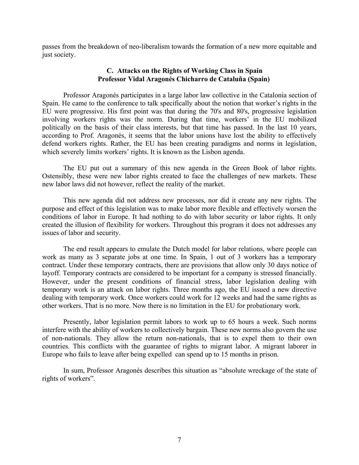passes from the breakdown of neo-liberalism towards the formation of a new more equitable and just society.

### **C. Attacks on the Rights of Working Class in Spain Professor Vidal Aragonés Chicharro de Cataluña (Spain)**

Professor Aragonés participates in a large labor law collective in the Catalonia section of Spain. He came to the conference to talk specifically about the notion that worker's rights in the EU were progressive. His first point was that during the 70's and 80's, progressive legislation involving workers rights was the norm. During that time, workers' in the EU mobilized politically on the basis of their class interests, but that time has passed. In the last 10 years, according to Prof. Aragonés, it seems that the labor unions have lost the ability to effectively defend workers rights. Rather, the EU has been creating paradigms and norms in legislation, which severely limits workers' rights. It is known as the Lisbon agenda.

The EU put out a summary of this new agenda in the Green Book of labor rights. Ostensibly, these were new labor rights created to face the challenges of new markets. These new labor laws did not however, reflect the reality of the market.

This new agenda did not address new processes, nor did it create any new rights. The purpose and effect of this legislation was to make labor more flexible and effectively worsen the conditions of labor in Europe. It had nothing to do with labor security or labor rights. It only created the illusion of flexibility for workers. Throughout this program it does not addresses any issues of labor and security.

The end result appears to emulate the Dutch model for labor relations, where people can work as many as 3 separate jobs at one time. In Spain, 1 out of 3 workers has a temporary contract. Under these temporary contracts, there are provisions that allow only 30 days notice of layoff. Temporary contracts are considered to be important for a company is stressed financially. However, under the present conditions of financial stress, labor legislation dealing with temporary work is an attack on labor rights. Three months ago, the EU issued a new directive dealing with temporary work. Once workers could work for 12 weeks and had the same rights as other workers. That is no more. Now there is no limitation in the EU for probationary work.

Presently, labor legislation permit labors to work up to 65 hours a week. Such norms interfere with the ability of workers to collectively bargain. These new norms also govern the use of non-nationals. They allow the return non-nationals, that is to expel them to their own countries. This conflicts with the guarantee of rights to migrant labor. A migrant laborer in Europe who fails to leave after being expelled can spend up to 15 months in prison.

In sum, Professor Aragonés describes this situation as "absolute wreckage of the state of rights of workers".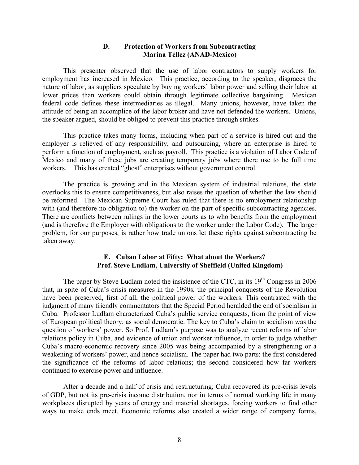#### **D. Protection of Workers from Subcontracting Marina Téllez (ANAD-Mexico)**

This presenter observed that the use of labor contractors to supply workers for employment has increased in Mexico. This practice, according to the speaker, disgraces the nature of labor, as suppliers speculate by buying workers' labor power and selling their labor at lower prices than workers could obtain through legitimate collective bargaining. Mexican federal code defines these intermediaries as illegal. Many unions, however, have taken the attitude of being an accomplice of the labor broker and have not defended the workers. Unions, the speaker argued, should be obliged to prevent this practice through strikes.

 This practice takes many forms, including when part of a service is hired out and the employer is relieved of any responsibility, and outsourcing, where an enterprise is hired to perform a function of employment, such as payroll. This practice is a violation of Labor Code of Mexico and many of these jobs are creating temporary jobs where there use to be full time workers. This has created "ghost" enterprises without government control.

 The practice is growing and in the Mexican system of industrial relations, the state overlooks this to ensure competitiveness, but also raises the question of whether the law should be reformed. The Mexican Supreme Court has ruled that there is no employment relationship with (and therefore no obligation to) the worker on the part of specific subcontracting agencies. There are conflicts between rulings in the lower courts as to who benefits from the employment (and is therefore the Employer with obligations to the worker under the Labor Code). The larger problem, for our purposes, is rather how trade unions let these rights against subcontracting be taken away.

### **E. Cuban Labor at Fifty: What about the Workers? Prof. Steve Ludlam, University of Sheffield (United Kingdom)**

The paper by Steve Ludlam noted the insistence of the CTC, in its  $19<sup>th</sup>$  Congress in 2006 that, in spite of Cuba's crisis measures in the 1990s, the principal conquests of the Revolution have been preserved, first of all, the political power of the workers. This contrasted with the judgment of many friendly commentators that the Special Period heralded the end of socialism in Cuba. Professor Ludlam characterized Cuba's public service conquests, from the point of view of European political theory, as social democratic. The key to Cuba's claim to socialism was the question of workers' power. So Prof. Ludlam's purpose was to analyze recent reforms of labor relations policy in Cuba, and evidence of union and worker influence, in order to judge whether Cuba's macro-economic recovery since 2005 was being accompanied by a strengthening or a weakening of workers' power, and hence socialism. The paper had two parts: the first considered the significance of the reforms of labor relations; the second considered how far workers continued to exercise power and influence.

After a decade and a half of crisis and restructuring, Cuba recovered its pre-crisis levels of GDP, but not its pre-crisis income distribution, nor in terms of normal working life in many workplaces disrupted by years of energy and material shortages, forcing workers to find other ways to make ends meet. Economic reforms also created a wider range of company forms,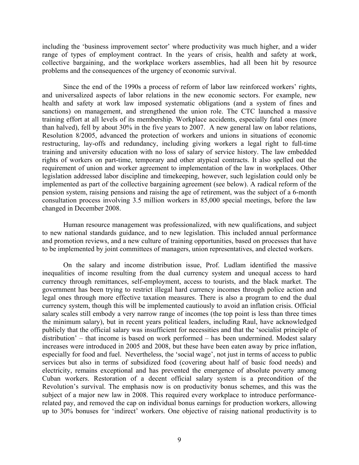including the 'business improvement sector' where productivity was much higher, and a wider range of types of employment contract. In the years of crisis, health and safety at work, collective bargaining, and the workplace workers assemblies, had all been hit by resource problems and the consequences of the urgency of economic survival.

Since the end of the 1990s a process of reform of labor law reinforced workers' rights, and universalized aspects of labor relations in the new economic sectors. For example, new health and safety at work law imposed systematic obligations (and a system of fines and sanctions) on management, and strengthened the union role. The CTC launched a massive training effort at all levels of its membership. Workplace accidents, especially fatal ones (more than halved), fell by about 30% in the five years to 2007. A new general law on labor relations, Resolution 8/2005, advanced the protection of workers and unions in situations of economic restructuring, lay-offs and redundancy, including giving workers a legal right to full-time training and university education with no loss of salary of service history. The law embedded rights of workers on part-time, temporary and other atypical contracts. It also spelled out the requirement of union and worker agreement to implementation of the law in workplaces. Other legislation addressed labor discipline and timekeeping, however, such legislation could only be implemented as part of the collective bargaining agreement (see below). A radical reform of the pension system, raising pensions and raising the age of retirement, was the subject of a 6-month consultation process involving 3.5 million workers in 85,000 special meetings, before the law changed in December 2008.

Human resource management was professionalized, with new qualifications, and subject to new national standards guidance, and to new legislation. This included annual performance and promotion reviews, and a new culture of training opportunities, based on processes that have to be implemented by joint committees of managers, union representatives, and elected workers.

On the salary and income distribution issue, Prof. Ludlam identified the massive inequalities of income resulting from the dual currency system and unequal access to hard currency through remittances, self-employment, access to tourists, and the black market. The government has been trying to restrict illegal hard currency incomes through police action and legal ones through more effective taxation measures. There is also a program to end the dual currency system, though this will be implemented cautiously to avoid an inflation crisis. Official salary scales still embody a very narrow range of incomes (the top point is less than three times the minimum salary), but in recent years political leaders, including Raul, have acknowledged publicly that the official salary was insufficient for necessities and that the 'socialist principle of distribution' – that income is based on work performed – has been undermined. Modest salary increases were introduced in 2005 and 2008, but these have been eaten away by price inflation, especially for food and fuel. Nevertheless, the 'social wage', not just in terms of access to public services but also in terms of subsidized food (covering about half of basic food needs) and electricity, remains exceptional and has prevented the emergence of absolute poverty among Cuban workers. Restoration of a decent official salary system is a precondition of the Revolution's survival. The emphasis now is on productivity bonus schemes, and this was the subject of a major new law in 2008. This required every workplace to introduce performancerelated pay, and removed the cap on individual bonus earnings for production workers, allowing up to 30% bonuses for 'indirect' workers. One objective of raising national productivity is to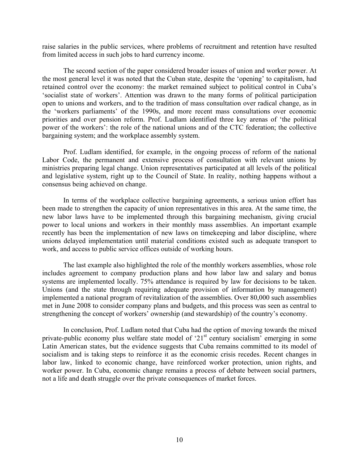raise salaries in the public services, where problems of recruitment and retention have resulted from limited access in such jobs to hard currency income.

The second section of the paper considered broader issues of union and worker power. At the most general level it was noted that the Cuban state, despite the 'opening' to capitalism, had retained control over the economy: the market remained subject to political control in Cuba's 'socialist state of workers'. Attention was drawn to the many forms of political participation open to unions and workers, and to the tradition of mass consultation over radical change, as in the 'workers parliaments' of the 1990s, and more recent mass consultations over economic priorities and over pension reform. Prof. Ludlam identified three key arenas of 'the political power of the workers': the role of the national unions and of the CTC federation; the collective bargaining system; and the workplace assembly system.

Prof. Ludlam identified, for example, in the ongoing process of reform of the national Labor Code, the permanent and extensive process of consultation with relevant unions by ministries preparing legal change. Union representatives participated at all levels of the political and legislative system, right up to the Council of State. In reality, nothing happens without a consensus being achieved on change.

In terms of the workplace collective bargaining agreements, a serious union effort has been made to strengthen the capacity of union representatives in this area. At the same time, the new labor laws have to be implemented through this bargaining mechanism, giving crucial power to local unions and workers in their monthly mass assemblies. An important example recently has been the implementation of new laws on timekeeping and labor discipline, where unions delayed implementation until material conditions existed such as adequate transport to work, and access to public service offices outside of working hours.

The last example also highlighted the role of the monthly workers assemblies, whose role includes agreement to company production plans and how labor law and salary and bonus systems are implemented locally. 75% attendance is required by law for decisions to be taken. Unions (and the state through requiring adequate provision of information by management) implemented a national program of revitalization of the assemblies. Over 80,000 such assemblies met in June 2008 to consider company plans and budgets, and this process was seen as central to strengthening the concept of workers' ownership (and stewardship) of the country's economy.

In conclusion, Prof. Ludlam noted that Cuba had the option of moving towards the mixed private-public economy plus welfare state model of '21<sup>st</sup> century socialism' emerging in some Latin American states, but the evidence suggests that Cuba remains committed to its model of socialism and is taking steps to reinforce it as the economic crisis recedes. Recent changes in labor law, linked to economic change, have reinforced worker protection, union rights, and worker power. In Cuba, economic change remains a process of debate between social partners, not a life and death struggle over the private consequences of market forces.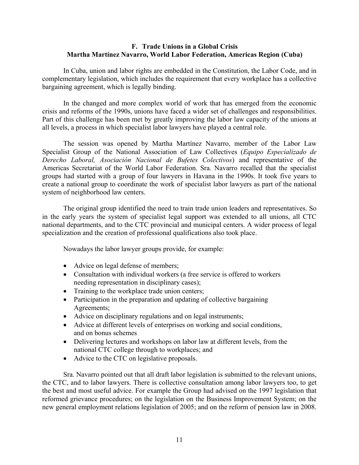### **F. Trade Unions in a Global Crisis Martha Martínez Navarro, World Labor Federation, Americas Region (Cuba)**

In Cuba, union and labor rights are embedded in the Constitution, the Labor Code, and in complementary legislation, which includes the requirement that every workplace has a collective bargaining agreement, which is legally binding.

In the changed and more complex world of work that has emerged from the economic crisis and reforms of the 1990s, unions have faced a wider set of challenges and responsibilities. Part of this challenge has been met by greatly improving the labor law capacity of the unions at all levels, a process in which specialist labor lawyers have played a central role.

The session was opened by Martha Martínez Navarro, member of the Labor Law Specialist Group of the National Association of Law Collectives (*Equipo Especializado de Derecho Laboral, Asociación Nacional de Bufetes Colectivos*) and representative of the Americas Secretariat of the World Labor Federation. Sra. Navarro recalled that the specialist groups had started with a group of four lawyers in Havana in the 1990s. It took five years to create a national group to coordinate the work of specialist labor lawyers as part of the national system of neighborhood law centers.

The original group identified the need to train trade union leaders and representatives. So in the early years the system of specialist legal support was extended to all unions, all CTC national departments, and to the CTC provincial and municipal centers. A wider process of legal specialization and the creation of professional qualifications also took place.

Nowadays the labor lawyer groups provide, for example:

- Advice on legal defense of members;
- Consultation with individual workers (a free service is offered to workers needing representation in disciplinary cases);
- Training to the workplace trade union centers;
- Participation in the preparation and updating of collective bargaining Agreements;
- Advice on disciplinary regulations and on legal instruments;
- Advice at different levels of enterprises on working and social conditions, and on bonus schemes
- Delivering lectures and workshops on labor law at different levels, from the national CTC college through to workplaces; and
- Advice to the CTC on legislative proposals.

Sra. Navarro pointed out that all draft labor legislation is submitted to the relevant unions, the CTC, and to labor lawyers. There is collective consultation among labor lawyers too, to get the best and most useful advice. For example the Group had advised on the 1997 legislation that reformed grievance procedures; on the legislation on the Business Improvement System; on the new general employment relations legislation of 2005; and on the reform of pension law in 2008.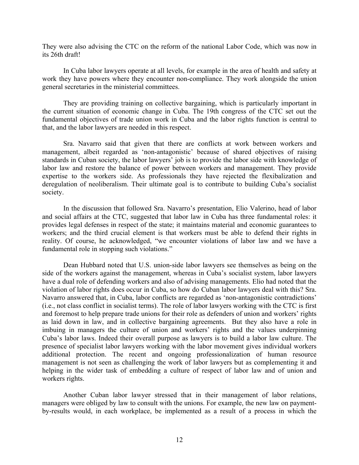They were also advising the CTC on the reform of the national Labor Code, which was now in its 26th draft!

In Cuba labor lawyers operate at all levels, for example in the area of health and safety at work they have powers where they encounter non-compliance. They work alongside the union general secretaries in the ministerial committees.

They are providing training on collective bargaining, which is particularly important in the current situation of economic change in Cuba. The 19th congress of the CTC set out the fundamental objectives of trade union work in Cuba and the labor rights function is central to that, and the labor lawyers are needed in this respect.

Sra. Navarro said that given that there are conflicts at work between workers and management, albeit regarded as 'non-antagonistic' because of shared objectives of raising standards in Cuban society, the labor lawyers' job is to provide the labor side with knowledge of labor law and restore the balance of power between workers and management. They provide expertise to the workers side. As professionals they have rejected the flexibalization and deregulation of neoliberalism. Their ultimate goal is to contribute to building Cuba's socialist society.

In the discussion that followed Sra. Navarro's presentation, Elio Valerino, head of labor and social affairs at the CTC, suggested that labor law in Cuba has three fundamental roles: it provides legal defenses in respect of the state; it maintains material and economic guarantees to workers; and the third crucial element is that workers must be able to defend their rights in reality. Of course, he acknowledged, "we encounter violations of labor law and we have a fundamental role in stopping such violations."

Dean Hubbard noted that U.S. union-side labor lawyers see themselves as being on the side of the workers against the management, whereas in Cuba's socialist system, labor lawyers have a dual role of defending workers and also of advising managements. Elio had noted that the violation of labor rights does occur in Cuba, so how do Cuban labor lawyers deal with this? Sra. Navarro answered that, in Cuba, labor conflicts are regarded as 'non-antagonistic contradictions' (i.e., not class conflict in socialist terms). The role of labor lawyers working with the CTC is first and foremost to help prepare trade unions for their role as defenders of union and workers' rights as laid down in law, and in collective bargaining agreements. But they also have a role in imbuing in managers the culture of union and workers' rights and the values underpinning Cuba's labor laws. Indeed their overall purpose as lawyers is to build a labor law culture. The presence of specialist labor lawyers working with the labor movement gives individual workers additional protection. The recent and ongoing professionalization of human resource management is not seen as challenging the work of labor lawyers but as complementing it and helping in the wider task of embedding a culture of respect of labor law and of union and workers rights.

Another Cuban labor lawyer stressed that in their management of labor relations, managers were obliged by law to consult with the unions. For example, the new law on paymentby-results would, in each workplace, be implemented as a result of a process in which the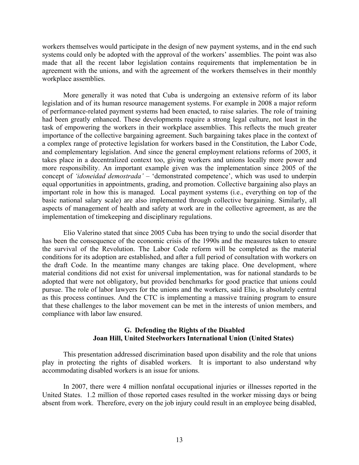workers themselves would participate in the design of new payment systems, and in the end such systems could only be adopted with the approval of the workers' assemblies. The point was also made that all the recent labor legislation contains requirements that implementation be in agreement with the unions, and with the agreement of the workers themselves in their monthly workplace assemblies.

More generally it was noted that Cuba is undergoing an extensive reform of its labor legislation and of its human resource management systems. For example in 2008 a major reform of performance-related payment systems had been enacted, to raise salaries. The role of training had been greatly enhanced. These developments require a strong legal culture, not least in the task of empowering the workers in their workplace assemblies. This reflects the much greater importance of the collective bargaining agreement. Such bargaining takes place in the context of a complex range of protective legislation for workers based in the Constitution, the Labor Code, and complementary legislation. And since the general employment relations reforms of 2005, it takes place in a decentralized context too, giving workers and unions locally more power and more responsibility. An important example given was the implementation since 2005 of the concept of *'idoneidad demostrada'* – 'demonstrated competence', which was used to underpin equal opportunities in appointments, grading, and promotion. Collective bargaining also plays an important role in how this is managed. Local payment systems (i.e., everything on top of the basic national salary scale) are also implemented through collective bargaining. Similarly, all aspects of management of health and safety at work are in the collective agreement, as are the implementation of timekeeping and disciplinary regulations.

Elio Valerino stated that since 2005 Cuba has been trying to undo the social disorder that has been the consequence of the economic crisis of the 1990s and the measures taken to ensure the survival of the Revolution. The Labor Code reform will be completed as the material conditions for its adoption are established, and after a full period of consultation with workers on the draft Code. In the meantime many changes are taking place. One development, where material conditions did not exist for universal implementation, was for national standards to be adopted that were not obligatory, but provided benchmarks for good practice that unions could pursue. The role of labor lawyers for the unions and the workers, said Elio, is absolutely central as this process continues. And the CTC is implementing a massive training program to ensure that these challenges to the labor movement can be met in the interests of union members, and compliance with labor law ensured.

### **G. Defending the Rights of the Disabled Joan Hill, United Steelworkers International Union (United States)**

This presentation addressed discrimination based upon disability and the role that unions play in protecting the rights of disabled workers. It is important to also understand why accommodating disabled workers is an issue for unions.

In 2007, there were 4 million nonfatal occupational injuries or illnesses reported in the United States. 1.2 million of those reported cases resulted in the worker missing days or being absent from work. Therefore, every on the job injury could result in an employee being disabled,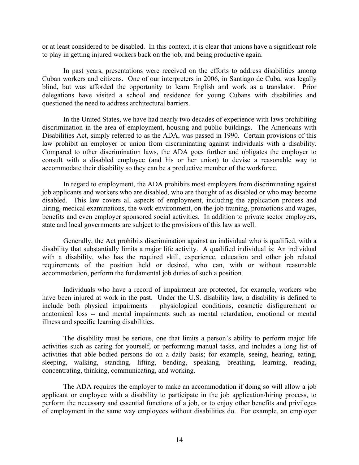or at least considered to be disabled. In this context, it is clear that unions have a significant role to play in getting injured workers back on the job, and being productive again.

In past years, presentations were received on the efforts to address disabilities among Cuban workers and citizens. One of our interpreters in 2006, in Santiago de Cuba, was legally blind, but was afforded the opportunity to learn English and work as a translator. Prior delegations have visited a school and residence for young Cubans with disabilities and questioned the need to address architectural barriers.

In the United States, we have had nearly two decades of experience with laws prohibiting discrimination in the area of employment, housing and public buildings. The Americans with Disabilities Act, simply referred to as the ADA, was passed in 1990. Certain provisions of this law prohibit an employer or union from discriminating against individuals with a disability. Compared to other discrimination laws, the ADA goes further and obligates the employer to consult with a disabled employee (and his or her union) to devise a reasonable way to accommodate their disability so they can be a productive member of the workforce.

In regard to employment, the ADA prohibits most employers from discriminating against job applicants and workers who are disabled, who are thought of as disabled or who may become disabled. This law covers all aspects of employment, including the application process and hiring, medical examinations, the work environment, on-the-job training, promotions and wages, benefits and even employer sponsored social activities. In addition to private sector employers, state and local governments are subject to the provisions of this law as well.

Generally, the Act prohibits discrimination against an individual who is qualified, with a disability that substantially limits a major life activity. A qualified individual is: An individual with a disability, who has the required skill, experience, education and other job related requirements of the position held or desired, who can, with or without reasonable accommodation, perform the fundamental job duties of such a position.

Individuals who have a record of impairment are protected, for example, workers who have been injured at work in the past. Under the U.S. disability law, a disability is defined to include both physical impairments – physiological conditions, cosmetic disfigurement or anatomical loss -- and mental impairments such as mental retardation, emotional or mental illness and specific learning disabilities.

The disability must be serious, one that limits a person's ability to perform major life activities such as caring for yourself, or performing manual tasks, and includes a long list of activities that able-bodied persons do on a daily basis; for example, seeing, hearing, eating, sleeping, walking, standing, lifting, bending, speaking, breathing, learning, reading, concentrating, thinking, communicating, and working.

The ADA requires the employer to make an accommodation if doing so will allow a job applicant or employee with a disability to participate in the job application/hiring process, to perform the necessary and essential functions of a job, or to enjoy other benefits and privileges of employment in the same way employees without disabilities do. For example, an employer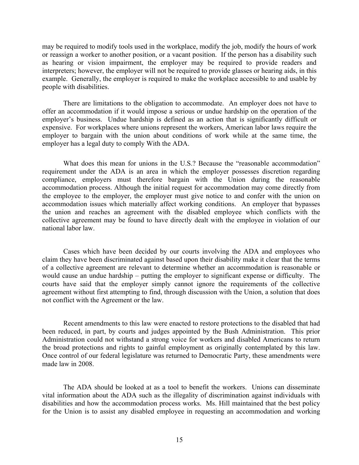may be required to modify tools used in the workplace, modify the job, modify the hours of work or reassign a worker to another position, or a vacant position. If the person has a disability such as hearing or vision impairment, the employer may be required to provide readers and interpreters; however, the employer will not be required to provide glasses or hearing aids, in this example. Generally, the employer is required to make the workplace accessible to and usable by people with disabilities.

There are limitations to the obligation to accommodate. An employer does not have to offer an accommodation if it would impose a serious or undue hardship on the operation of the employer's business. Undue hardship is defined as an action that is significantly difficult or expensive. For workplaces where unions represent the workers, American labor laws require the employer to bargain with the union about conditions of work while at the same time, the employer has a legal duty to comply With the ADA.

What does this mean for unions in the U.S.? Because the "reasonable accommodation" requirement under the ADA is an area in which the employer possesses discretion regarding compliance, employers must therefore bargain with the Union during the reasonable accommodation process. Although the initial request for accommodation may come directly from the employee to the employer, the employer must give notice to and confer with the union on accommodation issues which materially affect working conditions. An employer that bypasses the union and reaches an agreement with the disabled employee which conflicts with the collective agreement may be found to have directly dealt with the employee in violation of our national labor law.

Cases which have been decided by our courts involving the ADA and employees who claim they have been discriminated against based upon their disability make it clear that the terms of a collective agreement are relevant to determine whether an accommodation is reasonable or would cause an undue hardship – putting the employer to significant expense or difficulty. The courts have said that the employer simply cannot ignore the requirements of the collective agreement without first attempting to find, through discussion with the Union, a solution that does not conflict with the Agreement or the law.

Recent amendments to this law were enacted to restore protections to the disabled that had been reduced, in part, by courts and judges appointed by the Bush Administration. This prior Administration could not withstand a strong voice for workers and disabled Americans to return the broad protections and rights to gainful employment as originally contemplated by this law. Once control of our federal legislature was returned to Democratic Party, these amendments were made law in 2008.

The ADA should be looked at as a tool to benefit the workers. Unions can disseminate vital information about the ADA such as the illegality of discrimination against individuals with disabilities and how the accommodation process works. Ms. Hill maintained that the best policy for the Union is to assist any disabled employee in requesting an accommodation and working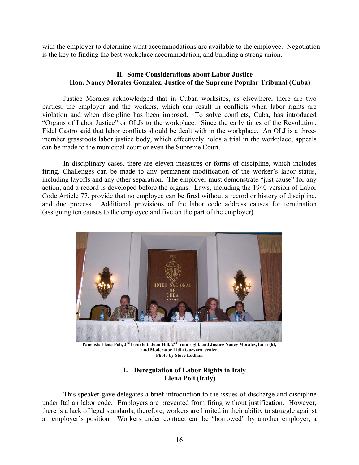with the employer to determine what accommodations are available to the employee. Negotiation is the key to finding the best workplace accommodation, and building a strong union.

# **H. Some Considerations about Labor Justice Hon. Nancy Morales Gonzalez, Justice of the Supreme Popular Tribunal (Cuba)**

Justice Morales acknowledged that in Cuban worksites, as elsewhere, there are two parties, the employer and the workers, which can result in conflicts when labor rights are violation and when discipline has been imposed. To solve conflicts, Cuba, has introduced "Organs of Labor Justice" or OLJs to the workplace. Since the early times of the Revolution, Fidel Castro said that labor conflicts should be dealt with in the workplace. An OLJ is a threemember grassroots labor justice body, which effectively holds a trial in the workplace; appeals can be made to the municipal court or even the Supreme Court.

 In disciplinary cases, there are eleven measures or forms of discipline, which includes firing. Challenges can be made to any permanent modification of the worker's labor status, including layoffs and any other separation. The employer must demonstrate "just cause" for any action, and a record is developed before the organs. Laws, including the 1940 version of Labor Code Article 77, provide that no employee can be fired without a record or history of discipline, and due process. Additional provisions of the labor code address causes for termination (assigning ten causes to the employee and five on the part of the employer).



Panelists Elena Poli, 2<sup>nd</sup> from left, Joan Hill, 2<sup>nd</sup> from right, and Justice Nancy Morales, far right,  **and Moderator Lidia Guevara, center. Photo by Steve Ludlam** 

# **I. Deregulation of Labor Rights in Italy Elena Poli (Italy)**

This speaker gave delegates a brief introduction to the issues of discharge and discipline under Italian labor code. Employers are prevented from firing without justification. However, there is a lack of legal standards; therefore, workers are limited in their ability to struggle against an employer's position. Workers under contract can be "borrowed" by another employer, a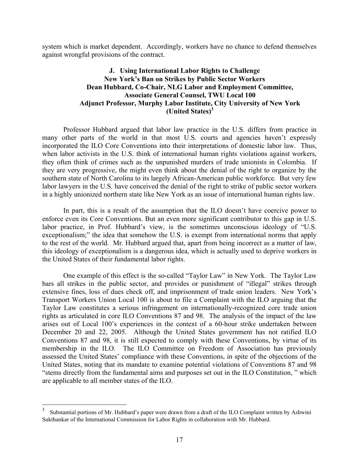system which is market dependent. Accordingly, workers have no chance to defend themselves against wrongful provisions of the contract.

# **J. Using International Labor Rights to Challenge New York's Ban on Strikes by Public Sector Workers Dean Hubbard, Co-Chair, NLG Labor and Employment Committee, Associate General Counsel, TWU Local 100 Adjunct Professor, Murphy Labor Institute, City University of New York (United States)3**

 Professor Hubbard argued that labor law practice in the U.S. differs from practice in many other parts of the world in that most U.S. courts and agencies haven't expressly incorporated the ILO Core Conventions into their interpretations of domestic labor law. Thus, when labor activists in the U.S. think of international human rights violations against workers, they often think of crimes such as the unpunished murders of trade unionists in Colombia. If they are very progressive, the might even think about the denial of the right to organize by the southern state of North Carolina to its largely African-American public workforce. But very few labor lawyers in the U.S. have conceived the denial of the right to strike of public sector workers in a highly unionized northern state like New York as an issue of international human rights law.

In part, this is a result of the assumption that the ILO doesn't have coercive power to enforce even its Core Conventions. But an even more significant contributor to this gap in U.S. labor practice, in Prof. Hubbard's view, is the sometimes unconscious ideology of "U.S. exceptionalism;" the idea that somehow the U.S. is exempt from international norms that apply to the rest of the world. Mr. Hubbard argued that, apart from being incorrect as a matter of law, this ideology of exceptionalism is a dangerous idea, which is actually used to deprive workers in the United States of their fundamental labor rights.

One example of this effect is the so-called "Taylor Law" in New York. The Taylor Law bars all strikes in the public sector, and provides or punishment of "illegal" strikes through extensive fines, loss of dues check off, and imprisonment of trade union leaders. New York's Transport Workers Union Local 100 is about to file a Complaint with the ILO arguing that the Taylor Law constitutes a serious infringement on internationally-recognized core trade union rights as articulated in core ILO Conventions 87 and 98. The analysis of the impact of the law arises out of Local 100's experiences in the context of a 60-hour strike undertaken between December 20 and 22, 2005. Although the United States government has not ratified ILO Conventions 87 and 98, it is still expected to comply with these Conventions, by virtue of its membership in the ILO. The ILO Committee on Freedom of Association has previously assessed the United States' compliance with these Conventions, in spite of the objections of the United States, noting that its mandate to examine potential violations of Conventions 87 and 98 "stems directly from the fundamental aims and purposes set out in the ILO Constitution, " which are applicable to all member states of the ILO.

 $\frac{1}{3}$  Substantial portions of Mr. Hubbard's paper were drawn from a draft of the ILO Complaint written by Ashwini Sukthankar of the International Commission for Labor Rights in collaboration with Mr. Hubbard.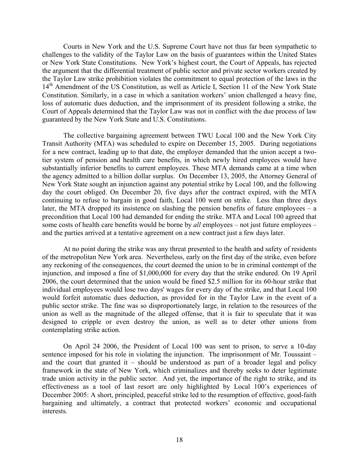Courts in New York and the U.S. Supreme Court have not thus far been sympathetic to challenges to the validity of the Taylor Law on the basis of guarantees within the United States or New York State Constitutions. New York's highest court, the Court of Appeals, has rejected the argument that the differential treatment of public sector and private sector workers created by the Taylor Law strike prohibition violates the commitment to equal protection of the laws in the 14<sup>th</sup> Amendment of the US Constitution, as well as Article I, Section 11 of the New York State Constitution. Similarly, in a case in which a sanitation workers' union challenged a heavy fine, loss of automatic dues deduction, and the imprisonment of its president following a strike, the Court of Appeals determined that the Taylor Law was not in conflict with the due process of law guaranteed by the New York State and U.S. Constitutions.

The collective bargaining agreement between TWU Local 100 and the New York City Transit Authority (MTA) was scheduled to expire on December 15, 2005. During negotiations for a new contract, leading up to that date, the employer demanded that the union accept a twotier system of pension and health care benefits, in which newly hired employees would have substantially inferior benefits to current employees. These MTA demands came at a time when the agency admitted to a billion dollar surplus. On December 13, 2005, the Attorney General of New York State sought an injunction against any potential strike by Local 100, and the following day the court obliged. On December 20, five days after the contract expired, with the MTA continuing to refuse to bargain in good faith, Local 100 went on strike. Less than three days later, the MTA dropped its insistence on slashing the pension benefits of future employees – a precondition that Local 100 had demanded for ending the strike. MTA and Local 100 agreed that some costs of health care benefits would be borne by *all* employees – not just future employees – and the parties arrived at a tentative agreement on a new contract just a few days later.

At no point during the strike was any threat presented to the health and safety of residents of the metropolitan New York area. Nevertheless, early on the first day of the strike, even before any reckoning of the consequences, the court deemed the union to be in criminal contempt of the injunction, and imposed a fine of \$1,000,000 for every day that the strike endured. On 19 April 2006, the court determined that the union would be fined \$2.5 million for its 60-hour strike that individual employees would lose two days' wages for every day of the strike, and that Local 100 would forfeit automatic dues deduction, as provided for in the Taylor Law in the event of a public sector strike. The fine was so disproportionately large, in relation to the resources of the union as well as the magnitude of the alleged offense, that it is fair to speculate that it was designed to cripple or even destroy the union, as well as to deter other unions from contemplating strike action.

On April 24 2006, the President of Local 100 was sent to prison, to serve a 10-day sentence imposed for his role in violating the injunction. The imprisonment of Mr. Toussaint – and the court that granted it – should be understood as part of a broader legal and policy framework in the state of New York, which criminalizes and thereby seeks to deter legitimate trade union activity in the public sector. And yet, the importance of the right to strike, and its effectiveness as a tool of last resort are only highlighted by Local 100's experiences of December 2005: A short, principled, peaceful strike led to the resumption of effective, good-faith bargaining and ultimately, a contract that protected workers' economic and occupational interests.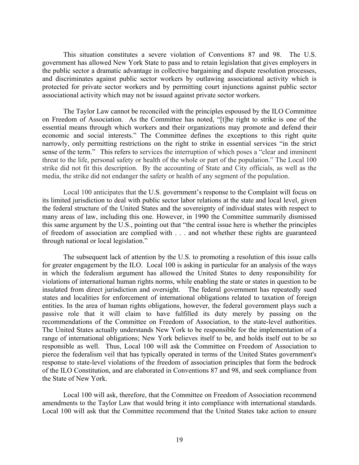This situation constitutes a severe violation of Conventions 87 and 98. The U.S. government has allowed New York State to pass and to retain legislation that gives employers in the public sector a dramatic advantage in collective bargaining and dispute resolution processes, and discriminates against public sector workers by outlawing associational activity which is protected for private sector workers and by permitting court injunctions against public sector associational activity which may not be issued against private sector workers.

The Taylor Law cannot be reconciled with the principles espoused by the ILO Committee on Freedom of Association. As the Committee has noted, "[t]he right to strike is one of the essential means through which workers and their organizations may promote and defend their economic and social interests." The Committee defines the exceptions to this right quite narrowly, only permitting restrictions on the right to strike in essential services "in the strict sense of the term." This refers to services the interruption of which poses a "clear and imminent threat to the life, personal safety or health of the whole or part of the population." The Local 100 strike did not fit this description. By the accounting of State and City officials, as well as the media, the strike did not endanger the safety or health of any segment of the population.

Local 100 anticipates that the U.S. government's response to the Complaint will focus on its limited jurisdiction to deal with public sector labor relations at the state and local level, given the federal structure of the United States and the sovereignty of individual states with respect to many areas of law, including this one. However, in 1990 the Committee summarily dismissed this same argument by the U.S., pointing out that "the central issue here is whether the principles of freedom of association are complied with . . . and not whether these rights are guaranteed through national or local legislation."

The subsequent lack of attention by the U.S. to promoting a resolution of this issue calls for greater engagement by the ILO. Local 100 is asking in particular for an analysis of the ways in which the federalism argument has allowed the United States to deny responsibility for violations of international human rights norms, while enabling the state or states in question to be insulated from direct jurisdiction and oversight. The federal government has repeatedly sued states and localities for enforcement of international obligations related to taxation of foreign entities. In the area of human rights obligations, however, the federal government plays such a passive role that it will claim to have fulfilled its duty merely by passing on the recommendations of the Committee on Freedom of Association, to the state-level authorities. The United States actually understands New York to be responsible for the implementation of a range of international obligations; New York believes itself to be, and holds itself out to be so responsible as well. Thus, Local 100 will ask the Committee on Freedom of Association to pierce the federalism veil that has typically operated in terms of the United States government's response to state-level violations of the freedom of association principles that form the bedrock of the ILO Constitution, and are elaborated in Conventions 87 and 98, and seek compliance from the State of New York.

Local 100 will ask, therefore, that the Committee on Freedom of Association recommend amendments to the Taylor Law that would bring it into compliance with international standards. Local 100 will ask that the Committee recommend that the United States take action to ensure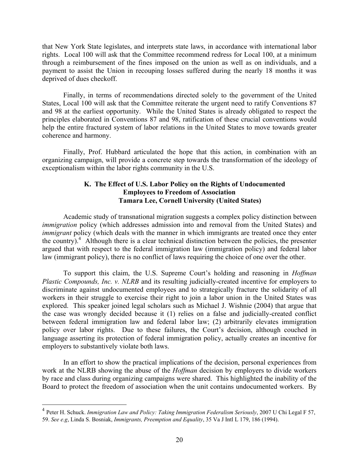that New York State legislates, and interprets state laws, in accordance with international labor rights. Local 100 will ask that the Committee recommend redress for Local 100, at a minimum through a reimbursement of the fines imposed on the union as well as on individuals, and a payment to assist the Union in recouping losses suffered during the nearly 18 months it was deprived of dues checkoff.

Finally, in terms of recommendations directed solely to the government of the United States, Local 100 will ask that the Committee reiterate the urgent need to ratify Conventions 87 and 98 at the earliest opportunity. While the United States is already obligated to respect the principles elaborated in Conventions 87 and 98, ratification of these crucial conventions would help the entire fractured system of labor relations in the United States to move towards greater coherence and harmony.

Finally, Prof. Hubbard articulated the hope that this action, in combination with an organizing campaign, will provide a concrete step towards the transformation of the ideology of exceptionalism within the labor rights community in the U.S.

### **K. The Effect of U.S. Labor Policy on the Rights of Undocumented Employees to Freedom of Association Tamara Lee, Cornell University (United States)**

Academic study of transnational migration suggests a complex policy distinction between *immigration* policy (which addresses admission into and removal from the United States) and *immigrant* policy (which deals with the manner in which immigrants are treated once they enter the country).<sup>4</sup> Although there is a clear technical distinction between the policies, the presenter argued that with respect to the federal immigration law (immigration policy) and federal labor law (immigrant policy), there is no conflict of laws requiring the choice of one over the other.

To support this claim, the U.S. Supreme Court's holding and reasoning in *Hoffman Plastic Compounds, Inc. v. NLRB* and its resulting judicially-created incentive for employers to discriminate against undocumented employees and to strategically fracture the solidarity of all workers in their struggle to exercise their right to join a labor union in the United States was explored. This speaker joined legal scholars such as Michael J. Wishnie (2004) that argue that the case was wrongly decided because it (1) relies on a false and judicially-created conflict between federal immigration law and federal labor law; (2) arbitrarily elevates immigration policy over labor rights. Due to these failures, the Court's decision, although couched in language asserting its protection of federal immigration policy, actually creates an incentive for employers to substantively violate both laws.

In an effort to show the practical implications of the decision, personal experiences from work at the NLRB showing the abuse of the *Hoffman* decision by employers to divide workers by race and class during organizing campaigns were shared. This highlighted the inability of the Board to protect the freedom of association when the unit contains undocumented workers. By

 $\overline{a}$ 

<sup>4</sup> Peter H. Schuck. *Immigration Law and Policy: Taking Immigration Federalism Seriously*, 2007 U Chi Legal F 57, 59. *See e.g*, Linda S. Bosniak, *Immigrants, Preemption and Equality*, 35 Va J Intl L 179, 186 (1994).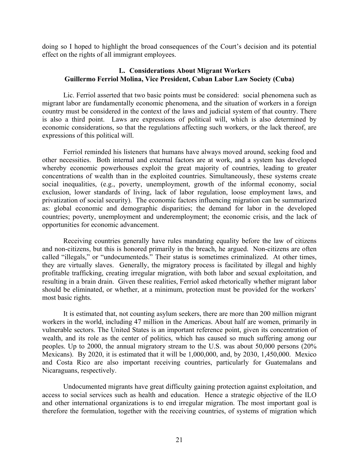doing so I hoped to highlight the broad consequences of the Court's decision and its potential effect on the rights of all immigrant employees.

#### **L. Considerations About Migrant Workers Guillermo Ferriol Molina, Vice President, Cuban Labor Law Society (Cuba)**

Lic. Ferriol asserted that two basic points must be considered: social phenomena such as migrant labor are fundamentally economic phenomena, and the situation of workers in a foreign country must be considered in the context of the laws and judicial system of that country. There is also a third point. Laws are expressions of political will, which is also determined by economic considerations, so that the regulations affecting such workers, or the lack thereof, are expressions of this political will.

Ferriol reminded his listeners that humans have always moved around, seeking food and other necessities. Both internal and external factors are at work, and a system has developed whereby economic powerhouses exploit the great majority of countries, leading to greater concentrations of wealth than in the exploited countries. Simultaneously, these systems create social inequalities, (e.g., poverty, unemployment, growth of the informal economy, social exclusion, lower standards of living, lack of labor regulation, loose employment laws, and privatization of social security). The economic factors influencing migration can be summarized as: global economic and demographic disparities; the demand for labor in the developed countries; poverty, unemployment and underemployment; the economic crisis, and the lack of opportunities for economic advancement.

Receiving countries generally have rules mandating equality before the law of citizens and non-citizens, but this is honored primarily in the breach, he argued. Non-citizens are often called "illegals," or "undocumenteds." Their status is sometimes criminalized. At other times, they are virtually slaves. Generally, the migratory process is facilitated by illegal and highly profitable trafficking, creating irregular migration, with both labor and sexual exploitation, and resulting in a brain drain. Given these realities, Ferriol asked rhetorically whether migrant labor should be eliminated, or whether, at a minimum, protection must be provided for the workers' most basic rights.

It is estimated that, not counting asylum seekers, there are more than 200 million migrant workers in the world, including 47 million in the Americas. About half are women, primarily in vulnerable sectors. The United States is an important reference point, given its concentration of wealth, and its role as the center of politics, which has caused so much suffering among our peoples. Up to 2000, the annual migratory stream to the U.S. was about 50,000 persons (20% Mexicans). By 2020, it is estimated that it will be 1,000,000, and, by 2030, 1,450,000. Mexico and Costa Rico are also important receiving countries, particularly for Guatemalans and Nicaraguans, respectively.

Undocumented migrants have great difficulty gaining protection against exploitation, and access to social services such as health and education. Hence a strategic objective of the ILO and other international organizations is to end irregular migration. The most important goal is therefore the formulation, together with the receiving countries, of systems of migration which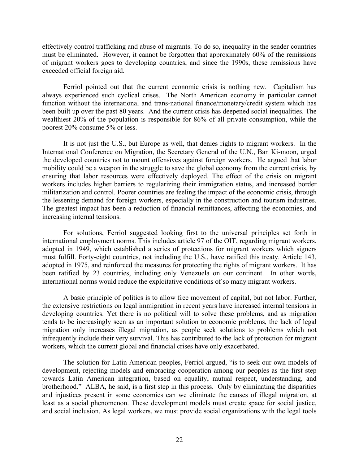effectively control trafficking and abuse of migrants. To do so, inequality in the sender countries must be eliminated. However, it cannot be forgotten that approximately 60% of the remissions of migrant workers goes to developing countries, and since the 1990s, these remissions have exceeded official foreign aid.

Ferriol pointed out that the current economic crisis is nothing new. Capitalism has always experienced such cyclical crises. The North American economy in particular cannot function without the international and trans-national finance/monetary/credit system which has been built up over the past 80 years. And the current crisis has deepened social inequalities. The wealthiest 20% of the population is responsible for 86% of all private consumption, while the poorest 20% consume 5% or less.

It is not just the U.S., but Europe as well, that denies rights to migrant workers. In the International Conference on Migration, the Secretary General of the U.N., Ban Ki-moon, urged the developed countries not to mount offensives against foreign workers. He argued that labor mobility could be a weapon in the struggle to save the global economy from the current crisis, by ensuring that labor resources were effectively deployed. The effect of the crisis on migrant workers includes higher barriers to regularizing their immigration status, and increased border militarization and control. Poorer countries are feeling the impact of the economic crisis, through the lessening demand for foreign workers, especially in the construction and tourism industries. The greatest impact has been a reduction of financial remittances, affecting the economies, and increasing internal tensions.

For solutions, Ferriol suggested looking first to the universal principles set forth in international employment norms. This includes article 97 of the OIT, regarding migrant workers, adopted in 1949, which established a series of protections for migrant workers which signers must fulfill. Forty-eight countries, not including the U.S., have ratified this treaty. Article 143, adopted in 1975, and reinforced the measures for protecting the rights of migrant workers. It has been ratified by 23 countries, including only Venezuela on our continent. In other words, international norms would reduce the exploitative conditions of so many migrant workers.

A basic principle of politics is to allow free movement of capital, but not labor. Further, the extensive restrictions on legal immigration in recent years have increased internal tensions in developing countries. Yet there is no political will to solve these problems, and as migration tends to be increasingly seen as an important solution to economic problems, the lack of legal migration only increases illegal migration, as people seek solutions to problems which not infrequently include their very survival. This has contributed to the lack of protection for migrant workers, which the current global and financial crises have only exacerbated.

The solution for Latin American peoples, Ferriol argued, "is to seek our own models of development, rejecting models and embracing cooperation among our peoples as the first step towards Latin American integration, based on equality, mutual respect, understanding, and brotherhood." ALBA, he said, is a first step in this process. Only by eliminating the disparities and injustices present in some economies can we eliminate the causes of illegal migration, at least as a social phenomenon. These development models must create space for social justice, and social inclusion. As legal workers, we must provide social organizations with the legal tools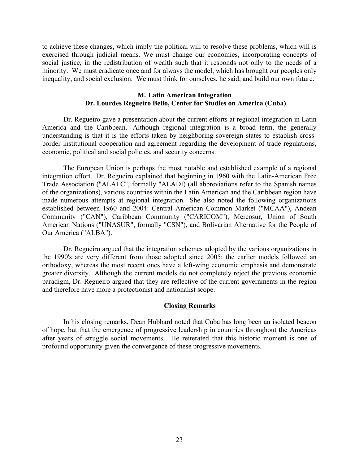to achieve these changes, which imply the political will to resolve these problems, which will is exercised through judicial means. We must change our economies, incorporating concepts of social justice, in the redistribution of wealth such that it responds not only to the needs of a minority. We must eradicate once and for always the model, which has brought our peoples only inequality, and social exclusion. We must think for ourselves, he said, and build our own future.

#### **M. Latin American Integration Dr. Lourdes Regueiro Bello, Center for Studies on America (Cuba)**

Dr. Regueiro gave a presentation about the current efforts at regional integration in Latin America and the Caribbean. Although regional integration is a broad term, the generally understanding is that it is the efforts taken by neighboring sovereign states to establish crossborder institutional cooperation and agreement regarding the development of trade regulations, economic, political and social policies, and security concerns.

The European Union is perhaps the most notable and established example of a regional integration effort. Dr. Regueiro explained that beginning in 1960 with the Latin-American Free Trade Association ("ALALC", formally "ALADI) (all abbreviations refer to the Spanish names of the organizations), various countries within the Latin American and the Caribbean region have made numerous attempts at regional integration. She also noted the following organizations established between 1960 and 2004: Central American Common Market ("MCAA"), Andean Community ("CAN"), Caribbean Community ("CARICOM"), Mercosur, Union of South American Nations ("UNASUR", formally "CSN"), and Bolivarian Alternative for the People of Our America ("ALBA").

Dr. Regueiro argued that the integration schemes adopted by the various organizations in the 1990's are very different from those adopted since 2005; the earlier models followed an orthodoxy, whereas the most recent ones have a left-wing economic emphasis and demonstrate greater diversity. Although the current models do not completely reject the previous economic paradigm, Dr. Regueiro argued that they are reflective of the current governments in the region and therefore have more a protectionist and nationalist scope.

#### **Closing Remarks**

 In his closing remarks, Dean Hubbard noted that Cuba has long been an isolated beacon of hope, but that the emergence of progressive leadership in countries throughout the Americas after years of struggle social movements. He reiterated that this historic moment is one of profound opportunity given the convergence of these progressive movements.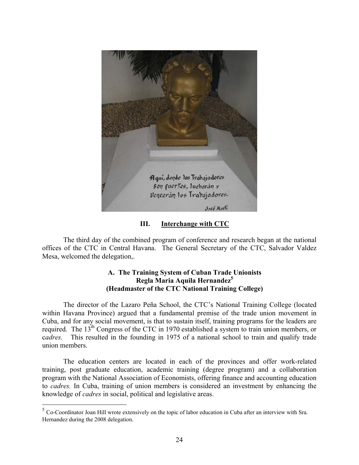

**III. Interchange with CTC**

The third day of the combined program of conference and research began at the national offices of the CTC in Central Havana. The General Secretary of the CTC, Salvador Valdez Mesa, welcomed the delegation,.

# **A. The Training System of Cuban Trade Unionists Regla Maria Aquila Hernandez5 (Headmaster of the CTC National Training College)**

The director of the Lazaro Peña School, the CTC's National Training College (located within Havana Province) argued that a fundamental premise of the trade union movement in Cuba, and for any social movement, is that to sustain itself, training programs for the leaders are required. The 13<sup>th</sup> Congress of the CTC in 1970 established a system to train union members, or c*adres.* This resulted in the founding in 1975 of a national school to train and qualify trade union members.

 The education centers are located in each of the provinces and offer work-related training, post graduate education, academic training (degree program) and a collaboration program with the National Association of Economists, offering finance and accounting education to *cadres.* In Cuba, training of union members is considered an investment by enhancing the knowledge of *cadres* in social, political and legislative areas.

1

 $5$  Co-Coordinator Joan Hill wrote extensively on the topic of labor education in Cuba after an interview with Sra. Hernandez during the 2008 delegation.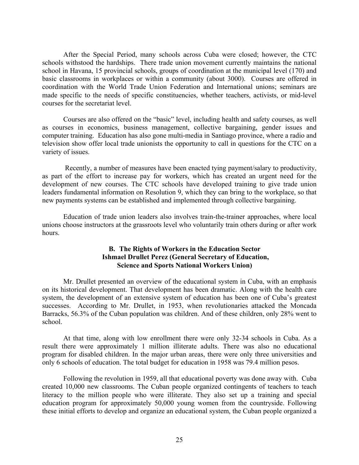After the Special Period, many schools across Cuba were closed; however, the CTC schools withstood the hardships. There trade union movement currently maintains the national school in Havana, 15 provincial schools, groups of coordination at the municipal level (170) and basic classrooms in workplaces or within a community (about 3000). Courses are offered in coordination with the World Trade Union Federation and International unions; seminars are made specific to the needs of specific constituencies, whether teachers, activists, or mid-level courses for the secretariat level.

 Courses are also offered on the "basic" level, including health and safety courses, as well as courses in economics, business management, collective bargaining, gender issues and computer training. Education has also gone multi-media in Santiago province, where a radio and television show offer local trade unionists the opportunity to call in questions for the CTC on a variety of issues.

 Recently, a number of measures have been enacted tying payment/salary to productivity, as part of the effort to increase pay for workers, which has created an urgent need for the development of new courses. The CTC schools have developed training to give trade union leaders fundamental information on Resolution 9, which they can bring to the workplace, so that new payments systems can be established and implemented through collective bargaining.

 Education of trade union leaders also involves train-the-trainer approaches, where local unions choose instructors at the grassroots level who voluntarily train others during or after work hours.

# **B. The Rights of Workers in the Education Sector Ishmael Drullet Perez (General Secretary of Education, Science and Sports National Workers Union)**

Mr. Drullet presented an overview of the educational system in Cuba, with an emphasis on its historical development. That development has been dramatic. Along with the health care system, the development of an extensive system of education has been one of Cuba's greatest successes. According to Mr. Drullet, in 1953, when revolutionaries attacked the Moncada Barracks, 56.3% of the Cuban population was children. And of these children, only 28% went to school.

At that time, along with low enrollment there were only 32-34 schools in Cuba. As a result there were approximately 1 million illiterate adults. There was also no educational program for disabled children. In the major urban areas, there were only three universities and only 6 schools of education. The total budget for education in 1958 was 79.4 million pesos.

Following the revolution in 1959, all that educational poverty was done away with. Cuba created 10,000 new classrooms. The Cuban people organized contingents of teachers to teach literacy to the million people who were illiterate. They also set up a training and special education program for approximately 50,000 young women from the countryside. Following these initial efforts to develop and organize an educational system, the Cuban people organized a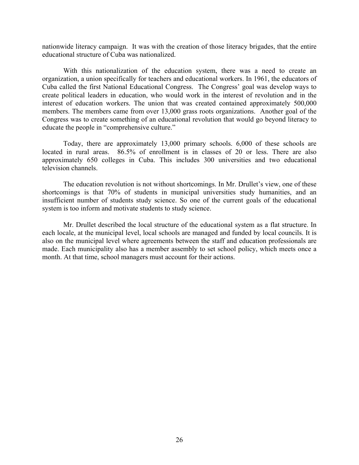nationwide literacy campaign. It was with the creation of those literacy brigades, that the entire educational structure of Cuba was nationalized.

With this nationalization of the education system, there was a need to create an organization, a union specifically for teachers and educational workers. In 1961, the educators of Cuba called the first National Educational Congress. The Congress' goal was develop ways to create political leaders in education, who would work in the interest of revolution and in the interest of education workers. The union that was created contained approximately 500,000 members. The members came from over 13,000 grass roots organizations. Another goal of the Congress was to create something of an educational revolution that would go beyond literacy to educate the people in "comprehensive culture."

Today, there are approximately 13,000 primary schools. 6,000 of these schools are located in rural areas. 86.5% of enrollment is in classes of 20 or less. There are also approximately 650 colleges in Cuba. This includes 300 universities and two educational television channels.

The education revolution is not without shortcomings. In Mr. Drullet's view, one of these shortcomings is that 70% of students in municipal universities study humanities, and an insufficient number of students study science. So one of the current goals of the educational system is too inform and motivate students to study science.

Mr. Drullet described the local structure of the educational system as a flat structure. In each locale, at the municipal level, local schools are managed and funded by local councils. It is also on the municipal level where agreements between the staff and education professionals are made. Each municipality also has a member assembly to set school policy, which meets once a month. At that time, school managers must account for their actions.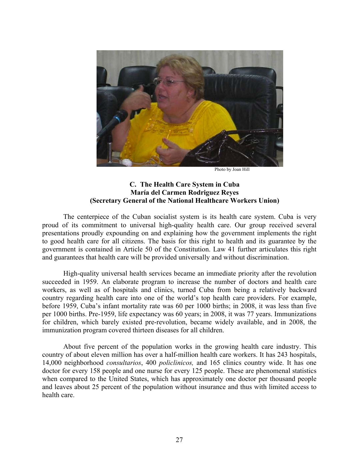

Photo by Joan Hill

# **C. The Health Care System in Cuba María del Carmen Rodriguez Reyes (Secretary General of the National Healthcare Workers Union)**

The centerpiece of the Cuban socialist system is its health care system. Cuba is very proud of its commitment to universal high-quality health care. Our group received several presentations proudly expounding on and explaining how the government implements the right to good health care for all citizens. The basis for this right to health and its guarantee by the government is contained in Article 50 of the Constitution. Law 41 further articulates this right and guarantees that health care will be provided universally and without discrimination.

High-quality universal health services became an immediate priority after the revolution succeeded in 1959. An elaborate program to increase the number of doctors and health care workers, as well as of hospitals and clinics, turned Cuba from being a relatively backward country regarding health care into one of the world's top health care providers. For example, before 1959, Cuba's infant mortality rate was 60 per 1000 births; in 2008, it was less than five per 1000 births. Pre-1959, life expectancy was 60 years; in 2008, it was 77 years. Immunizations for children, which barely existed pre-revolution, became widely available, and in 2008, the immunization program covered thirteen diseases for all children.

About five percent of the population works in the growing health care industry. This country of about eleven million has over a half-million health care workers. It has 243 hospitals, 14,000 neighborhood *consultarios*, 400 *policlinicos,* and 165 clinics country wide. It has one doctor for every 158 people and one nurse for every 125 people. These are phenomenal statistics when compared to the United States, which has approximately one doctor per thousand people and leaves about 25 percent of the population without insurance and thus with limited access to health care.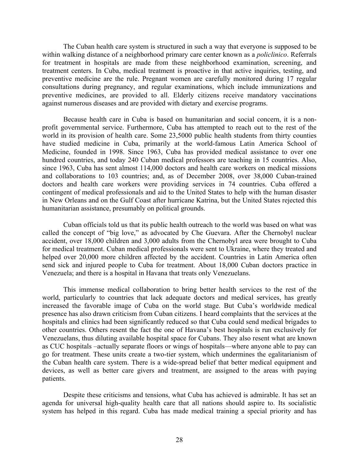The Cuban health care system is structured in such a way that everyone is supposed to be within walking distance of a neighborhood primary care center known as a *policlinico*. Referrals for treatment in hospitals are made from these neighborhood examination, screening, and treatment centers. In Cuba, medical treatment is proactive in that active inquiries, testing, and preventive medicine are the rule. Pregnant women are carefully monitored during 17 regular consultations during pregnancy, and regular examinations, which include immunizations and preventive medicines, are provided to all. Elderly citizens receive mandatory vaccinations against numerous diseases and are provided with dietary and exercise programs.

Because health care in Cuba is based on humanitarian and social concern, it is a nonprofit governmental service. Furthermore, Cuba has attempted to reach out to the rest of the world in its provision of health care. Some 23,5000 public health students from thirty counties have studied medicine in Cuba, primarily at the world-famous Latin America School of Medicine, founded in 1998. Since 1963, Cuba has provided medical assistance to over one hundred countries, and today 240 Cuban medical professors are teaching in 15 countries. Also, since 1963, Cuba has sent almost 114,000 doctors and health care workers on medical missions and collaborations to 103 countries; and, as of December 2008, over 38,000 Cuban-trained doctors and health care workers were providing services in 74 countries. Cuba offered a contingent of medical professionals and aid to the United States to help with the human disaster in New Orleans and on the Gulf Coast after hurricane Katrina, but the United States rejected this humanitarian assistance, presumably on political grounds.

Cuban officials told us that its public health outreach to the world was based on what was called the concept of "big love," as advocated by Che Guevara. After the Chernobyl nuclear accident, over 18,000 children and 3,000 adults from the Chernobyl area were brought to Cuba for medical treatment. Cuban medical professionals were sent to Ukraine, where they treated and helped over 20,000 more children affected by the accident. Countries in Latin America often send sick and injured people to Cuba for treatment. About 18,000 Cuban doctors practice in Venezuela; and there is a hospital in Havana that treats only Venezuelans.

This immense medical collaboration to bring better health services to the rest of the world, particularly to countries that lack adequate doctors and medical services, has greatly increased the favorable image of Cuba on the world stage. But Cuba's worldwide medical presence has also drawn criticism from Cuban citizens. I heard complaints that the services at the hospitals and clinics had been significantly reduced so that Cuba could send medical brigades to other countries. Others resent the fact the one of Havana's best hospitals is run exclusively for Venezuelans, thus diluting available hospital space for Cubans. They also resent what are known as CUC hospitals –actually separate floors or wings of hospitals—where anyone able to pay can go for treatment. These units create a two-tier system, which undermines the egalitarianism of the Cuban health care system. There is a wide-spread belief that better medical equipment and devices, as well as better care givers and treatment, are assigned to the areas with paying patients.

Despite these criticisms and tensions, what Cuba has achieved is admirable. It has set an agenda for universal high-quality health care that all nations should aspire to. Its socialistic system has helped in this regard. Cuba has made medical training a special priority and has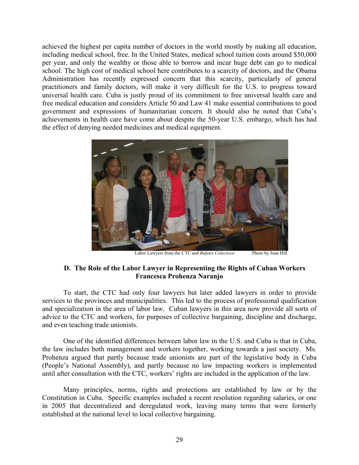achieved the highest per capita number of doctors in the world mostly by making all education, including medical school, free. In the United States, medical school tuition costs around \$50,000 per year, and only the wealthy or those able to borrow and incur huge debt can go to medical school. The high cost of medical school here contributes to a scarcity of doctors, and the Obama Administration has recently expressed concern that this scarcity, particularly of general practitioners and family doctors, will make it very difficult for the U.S. to progress toward universal health care. Cuba is justly proud of its commitment to free universal health care and free medical education and considers Article 50 and Law 41 make essential contributions to good government and expressions of humanitarian concern. It should also be noted that Cuba's achievements in health care have come about despite the 50-year U.S. embargo, which has had the effect of denying needed medicines and medical equipment.



Labor Lawyers from the CTC and *Bufetes Colectivos* Photo by Joan Hill

# **D. The Role of the Labor Lawyer in Representing the Rights of Cuban Workers Francesca Prohenza Naranjo**

To start, the CTC had only four lawyers but later added lawyers in order to provide services to the provinces and municipalities. This led to the process of professional qualification and specialization in the area of labor law. Cuban lawyers in this area now provide all sorts of advice to the CTC and workers, for purposes of collective bargaining, discipline and discharge, and even teaching trade unionists.

 One of the identified differences between labor law in the U.S. and Cuba is that in Cuba, the law includes both management and workers together, working towards a just society. Ms. Prohenza argued that partly because trade unionists are part of the legislative body in Cuba (People's National Assembly), and partly because no law impacting workers is implemented until after consultation with the CTC, workers' rights are included in the application of the law.

 Many principles, norms, rights and protections are established by law or by the Constitution in Cuba. Specific examples included a recent resolution regarding salaries, or one in 2005 that decentralized and deregulated work, leaving many terms that were formerly established at the national level to local collective bargaining.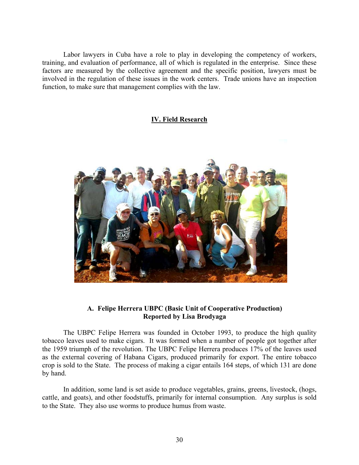Labor lawyers in Cuba have a role to play in developing the competency of workers, training, and evaluation of performance, all of which is regulated in the enterprise. Since these factors are measured by the collective agreement and the specific position, lawyers must be involved in the regulation of these issues in the work centers. Trade unions have an inspection function, to make sure that management complies with the law.

# **IV. Field Research**



# **A. Felipe Herrera UBPC (Basic Unit of Cooperative Production) Reported by Lisa Brodyaga**

The UBPC Felipe Herrera was founded in October 1993, to produce the high quality tobacco leaves used to make cigars. It was formed when a number of people got together after the 1959 triumph of the revolution. The UBPC Felipe Herrera produces 17% of the leaves used as the external covering of Habana Cigars, produced primarily for export. The entire tobacco crop is sold to the State. The process of making a cigar entails 164 steps, of which 131 are done by hand.

In addition, some land is set aside to produce vegetables, grains, greens, livestock, (hogs, cattle, and goats), and other foodstuffs, primarily for internal consumption. Any surplus is sold to the State. They also use worms to produce humus from waste.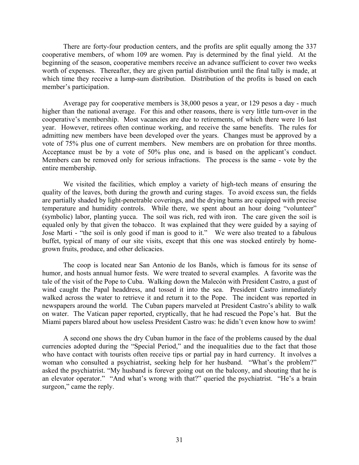There are forty-four production centers, and the profits are split equally among the 337 cooperative members, of whom 109 are women. Pay is determined by the final yield. At the beginning of the season, cooperative members receive an advance sufficient to cover two weeks worth of expenses. Thereafter, they are given partial distribution until the final tally is made, at which time they receive a lump-sum distribution. Distribution of the profits is based on each member's participation.

Average pay for cooperative members is 38,000 pesos a year, or 129 pesos a day - much higher than the national average. For this and other reasons, there is very little turn-over in the cooperative's membership. Most vacancies are due to retirements, of which there were 16 last year. However, retirees often continue working, and receive the same benefits. The rules for admitting new members have been developed over the years. Changes must be approved by a vote of 75% plus one of current members. New members are on probation for three months. Acceptance must be by a vote of 50% plus one, and is based on the applicant's conduct. Members can be removed only for serious infractions. The process is the same - vote by the entire membership.

We visited the facilities, which employ a variety of high-tech means of ensuring the quality of the leaves, both during the growth and curing stages. To avoid excess sun, the fields are partially shaded by light-penetrable coverings, and the drying barns are equipped with precise temperature and humidity controls. While there, we spent about an hour doing "volunteer" (symbolic) labor, planting yucca. The soil was rich, red with iron. The care given the soil is equaled only by that given the tobacco. It was explained that they were guided by a saying of Jose Marti - "the soil is only good if man is good to it." We were also treated to a fabulous buffet, typical of many of our site visits, except that this one was stocked entirely by homegrown fruits, produce, and other delicacies.

The coop is located near San Antonio de los Banõs, which is famous for its sense of humor, and hosts annual humor fests. We were treated to several examples. A favorite was the tale of the visit of the Pope to Cuba. Walking down the Malecón with President Castro, a gust of wind caught the Papal headdress, and tossed it into the sea. President Castro immediately walked across the water to retrieve it and return it to the Pope. The incident was reported in newspapers around the world. The Cuban papers marveled at President Castro's ability to walk on water. The Vatican paper reported, cryptically, that he had rescued the Pope's hat. But the Miami papers blared about how useless President Castro was: he didn't even know how to swim!

A second one shows the dry Cuban humor in the face of the problems caused by the dual currencies adopted during the "Special Period," and the inequalities due to the fact that those who have contact with tourists often receive tips or partial pay in hard currency. It involves a woman who consulted a psychiatrist, seeking help for her husband. "What's the problem?" asked the psychiatrist. "My husband is forever going out on the balcony, and shouting that he is an elevator operator." "And what's wrong with that?" queried the psychiatrist. "He's a brain surgeon," came the reply.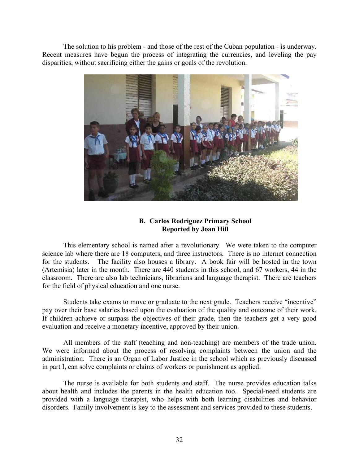The solution to his problem - and those of the rest of the Cuban population - is underway. Recent measures have begun the process of integrating the currencies, and leveling the pay disparities, without sacrificing either the gains or goals of the revolution.



# **B. Carlos Rodriguez Primary School Reported by Joan Hill**

This elementary school is named after a revolutionary. We were taken to the computer science lab where there are 18 computers, and three instructors. There is no internet connection for the students. The facility also houses a library. A book fair will be hosted in the town (Artemisia) later in the month. There are 440 students in this school, and 67 workers, 44 in the classroom. There are also lab technicians, librarians and language therapist. There are teachers for the field of physical education and one nurse.

 Students take exams to move or graduate to the next grade. Teachers receive "incentive" pay over their base salaries based upon the evaluation of the quality and outcome of their work. If children achieve or surpass the objectives of their grade, then the teachers get a very good evaluation and receive a monetary incentive, approved by their union.

 All members of the staff (teaching and non-teaching) are members of the trade union. We were informed about the process of resolving complaints between the union and the administration. There is an Organ of Labor Justice in the school which as previously discussed in part I, can solve complaints or claims of workers or punishment as applied.

 The nurse is available for both students and staff. The nurse provides education talks about health and includes the parents in the health education too. Special-need students are provided with a language therapist, who helps with both learning disabilities and behavior disorders. Family involvement is key to the assessment and services provided to these students.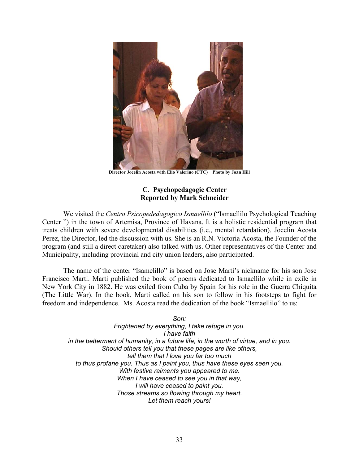

**Director Jocelin Acosta with Elio Valerino (CTC) Photo by Joan Hill** 

### **C. Psychopedagogic Center Reported by Mark Schneider**

We visited the *Centro Psicopededagogico Ismaellilo* ("Ismaellilo Psychological Teaching Center ") in the town of Artemisa, Province of Havana. It is a holistic residential program that treats children with severe developmental disabilities (i.e., mental retardation). Jocelin Acosta Perez, the Director, led the discussion with us. She is an R.N. Victoria Acosta, the Founder of the program (and still a direct caretaker) also talked with us. Other representatives of the Center and Municipality, including provincial and city union leaders, also participated.

The name of the center "Isamelillo" is based on Jose Marti's nickname for his son Jose Francisco Marti. Marti published the book of poems dedicated to Ismaellilo while in exile in New York City in 1882. He was exiled from Cuba by Spain for his role in the Guerra Chiquita (The Little War). In the book, Marti called on his son to follow in his footsteps to fight for freedom and independence. Ms. Acosta read the dedication of the book "Ismaellilo" to us:

*Son: Frightened by everything, I take refuge in you. I have faith in the betterment of humanity, in a future life, in the worth of virtue, and in you. Should others tell you that these pages are like others, tell them that I love you far too much to thus profane you. Thus as I paint you, thus have these eyes seen you. With festive raiments you appeared to me. When I have ceased to see you in that way, I will have ceased to paint you. Those streams so flowing through my heart. Let them reach yours!*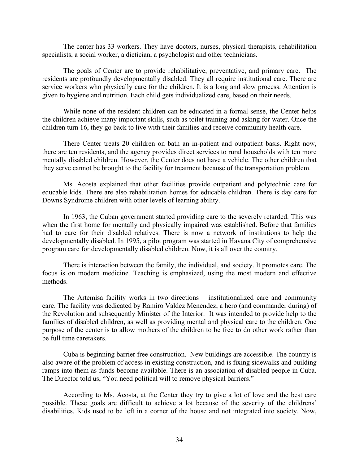The center has 33 workers. They have doctors, nurses, physical therapists, rehabilitation specialists, a social worker, a dietician, a psychologist and other technicians.

The goals of Center are to provide rehabilitative, preventative, and primary care. The residents are profoundly developmentally disabled. They all require institutional care. There are service workers who physically care for the children. It is a long and slow process. Attention is given to hygiene and nutrition. Each child gets individualized care, based on their needs.

While none of the resident children can be educated in a formal sense, the Center helps the children achieve many important skills, such as toilet training and asking for water. Once the children turn 16, they go back to live with their families and receive community health care.

There Center treats 20 children on bath an in-patient and outpatient basis. Right now, there are ten residents, and the agency provides direct services to rural households with ten more mentally disabled children. However, the Center does not have a vehicle. The other children that they serve cannot be brought to the facility for treatment because of the transportation problem.

Ms. Acosta explained that other facilities provide outpatient and polytechnic care for educable kids. There are also rehabilitation homes for educable children. There is day care for Downs Syndrome children with other levels of learning ability.

In 1963, the Cuban government started providing care to the severely retarded. This was when the first home for mentally and physically impaired was established. Before that families had to care for their disabled relatives. There is now a network of institutions to help the developmentally disabled. In 1995, a pilot program was started in Havana City of comprehensive program care for developmentally disabled children. Now, it is all over the country.

 There is interaction between the family, the individual, and society. It promotes care. The focus is on modern medicine. Teaching is emphasized, using the most modern and effective methods.

 The Artemisa facility works in two directions – institutionalized care and community care. The facility was dedicated by Ramiro Valdez Menendez, a hero (and commander during) of the Revolution and subsequently Minister of the Interior. It was intended to provide help to the families of disabled children, as well as providing mental and physical care to the children. One purpose of the center is to allow mothers of the children to be free to do other work rather than be full time caretakers.

 Cuba is beginning barrier free construction. New buildings are accessible. The country is also aware of the problem of access in existing construction, and is fixing sidewalks and building ramps into them as funds become available. There is an association of disabled people in Cuba. The Director told us, "You need political will to remove physical barriers."

According to Ms. Acosta, at the Center they try to give a lot of love and the best care possible. These goals are difficult to achieve a lot because of the severity of the childrens' disabilities. Kids used to be left in a corner of the house and not integrated into society. Now,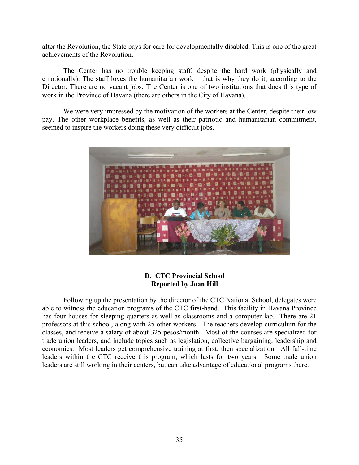after the Revolution, the State pays for care for developmentally disabled. This is one of the great achievements of the Revolution.

The Center has no trouble keeping staff, despite the hard work (physically and emotionally). The staff loves the humanitarian work – that is why they do it, according to the Director. There are no vacant jobs. The Center is one of two institutions that does this type of work in the Province of Havana (there are others in the City of Havana).

We were very impressed by the motivation of the workers at the Center, despite their low pay. The other workplace benefits, as well as their patriotic and humanitarian commitment, seemed to inspire the workers doing these very difficult jobs.



### **D. CTC Provincial School Reported by Joan Hill**

Following up the presentation by the director of the CTC National School, delegates were able to witness the education programs of the CTC first-hand. This facility in Havana Province has four houses for sleeping quarters as well as classrooms and a computer lab. There are 21 professors at this school, along with 25 other workers. The teachers develop curriculum for the classes, and receive a salary of about 325 pesos/month. Most of the courses are specialized for trade union leaders, and include topics such as legislation, collective bargaining, leadership and economics. Most leaders get comprehensive training at first, then specialization. All full-time leaders within the CTC receive this program, which lasts for two years. Some trade union leaders are still working in their centers, but can take advantage of educational programs there.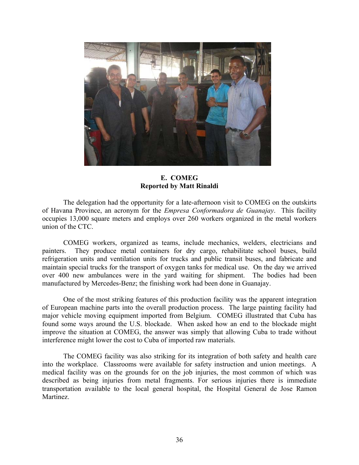

**E. COMEG Reported by Matt Rinaldi** 

The delegation had the opportunity for a late-afternoon visit to COMEG on the outskirts of Havana Province, an acronym for the *Empresa Conformadora de Guanajay*. This facility occupies 13,000 square meters and employs over 260 workers organized in the metal workers union of the CTC.

COMEG workers, organized as teams, include mechanics, welders, electricians and painters. They produce metal containers for dry cargo, rehabilitate school buses, build refrigeration units and ventilation units for trucks and public transit buses, and fabricate and maintain special trucks for the transport of oxygen tanks for medical use. On the day we arrived over 400 new ambulances were in the yard waiting for shipment. The bodies had been manufactured by Mercedes-Benz; the finishing work had been done in Guanajay.

One of the most striking features of this production facility was the apparent integration of European machine parts into the overall production process. The large painting facility had major vehicle moving equipment imported from Belgium. COMEG illustrated that Cuba has found some ways around the U.S. blockade. When asked how an end to the blockade might improve the situation at COMEG, the answer was simply that allowing Cuba to trade without interference might lower the cost to Cuba of imported raw materials.

The COMEG facility was also striking for its integration of both safety and health care into the workplace. Classrooms were available for safety instruction and union meetings. A medical facility was on the grounds for on the job injuries, the most common of which was described as being injuries from metal fragments. For serious injuries there is immediate transportation available to the local general hospital, the Hospital General de Jose Ramon Martinez.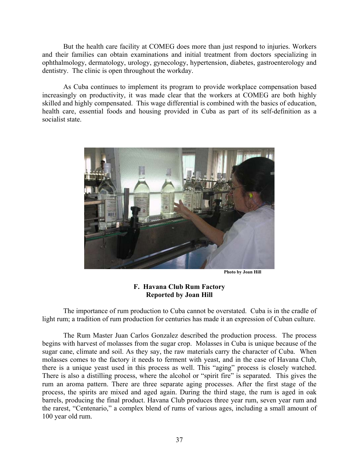But the health care facility at COMEG does more than just respond to injuries. Workers and their families can obtain examinations and initial treatment from doctors specializing in ophthalmology, dermatology, urology, gynecology, hypertension, diabetes, gastroenterology and dentistry. The clinic is open throughout the workday.

As Cuba continues to implement its program to provide workplace compensation based increasingly on productivity, it was made clear that the workers at COMEG are both highly skilled and highly compensated. This wage differential is combined with the basics of education, health care, essential foods and housing provided in Cuba as part of its self-definition as a socialist state.



 **Photo by Joan Hill**

# **F. Havana Club Rum Factory Reported by Joan Hill**

The importance of rum production to Cuba cannot be overstated. Cuba is in the cradle of light rum; a tradition of rum production for centuries has made it an expression of Cuban culture.

The Rum Master Juan Carlos Gonzalez described the production process. The process begins with harvest of molasses from the sugar crop. Molasses in Cuba is unique because of the sugar cane, climate and soil. As they say, the raw materials carry the character of Cuba. When molasses comes to the factory it needs to ferment with yeast, and in the case of Havana Club, there is a unique yeast used in this process as well. This "aging" process is closely watched. There is also a distilling process, where the alcohol or "spirit fire" is separated. This gives the rum an aroma pattern. There are three separate aging processes. After the first stage of the process, the spirits are mixed and aged again. During the third stage, the rum is aged in oak barrels, producing the final product. Havana Club produces three year rum, seven year rum and the rarest, "Centenario," a complex blend of rums of various ages, including a small amount of 100 year old rum.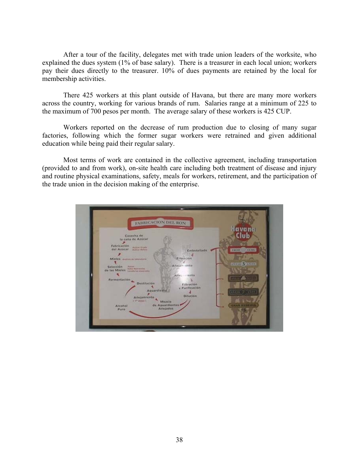After a tour of the facility, delegates met with trade union leaders of the worksite, who explained the dues system (1% of base salary). There is a treasurer in each local union; workers pay their dues directly to the treasurer. 10% of dues payments are retained by the local for membership activities.

There 425 workers at this plant outside of Havana, but there are many more workers across the country, working for various brands of rum. Salaries range at a minimum of 225 to the maximum of 700 pesos per month. The average salary of these workers is 425 CUP.

Workers reported on the decrease of rum production due to closing of many sugar factories, following which the former sugar workers were retrained and given additional education while being paid their regular salary.

Most terms of work are contained in the collective agreement, including transportation (provided to and from work), on-site health care including both treatment of disease and injury and routine physical examinations, safety, meals for workers, retirement, and the participation of the trade union in the decision making of the enterprise.